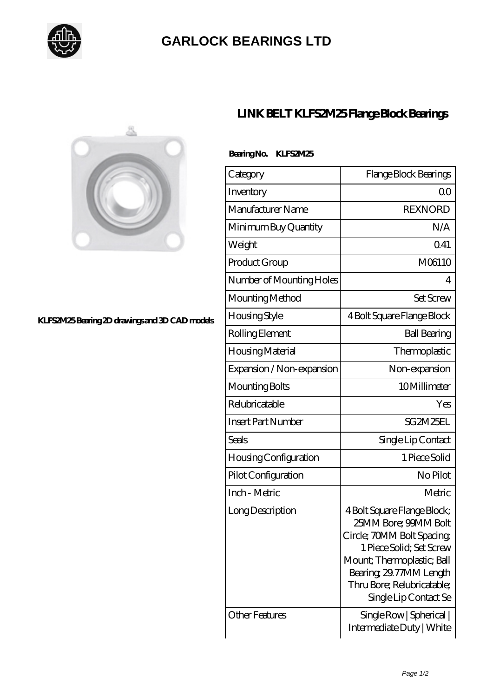

## **[GARLOCK BEARINGS LTD](https://m.letterstopriests.com)**

 **Bearing No. KLFS2M25**



**[KLFS2M25 Bearing 2D drawings and 3D CAD models](https://m.letterstopriests.com/pic-188920.html)**

## **[LINK BELT KLFS2M25 Flange Block Bearings](https://m.letterstopriests.com/az-188920-link-belt-klfs2m25-flange-block-bearings.html)**

| Category                  | Flange Block Bearings      |
|---------------------------|----------------------------|
| Inventory                 | ΩO                         |
| Manufacturer Name         | REXNORD                    |
| Minimum Buy Quantity      | N/A                        |
| Weight                    | 041                        |
| Product Group             | M06110                     |
| Number of Mounting Holes  | 4                          |
| Mounting Method           | Set Screw                  |
| Housing Style             | 4 Bolt Square Flange Block |
| Rolling Element           | <b>Ball Bearing</b>        |
| Housing Material          | Thermoplastic              |
| Expansion / Non-expansion | Non-expansion              |
|                           |                            |

Mounting Bolts 10 Millimeter Relubricatable Yes

Insert Part Number SG2M25EL

Seals Single Lip Contact

Housing Configuration 1 Piece Solid

Pilot Configuration No Pilot

Inch - Metric and Metric Metric Metric Metric Metric

Long Description | 4 Bolt Square Flange Block;

Other Features Single Row | Spherical |

25MM Bore; 99MM Bolt Circle; 70MM Bolt Spacing; 1 Piece Solid; Set Screw Mount; Thermoplastic; Ball Bearing; 29.77MM Length Thru Bore; Relubricatable;

Single Lip Contact Se

Intermediate Duty | White